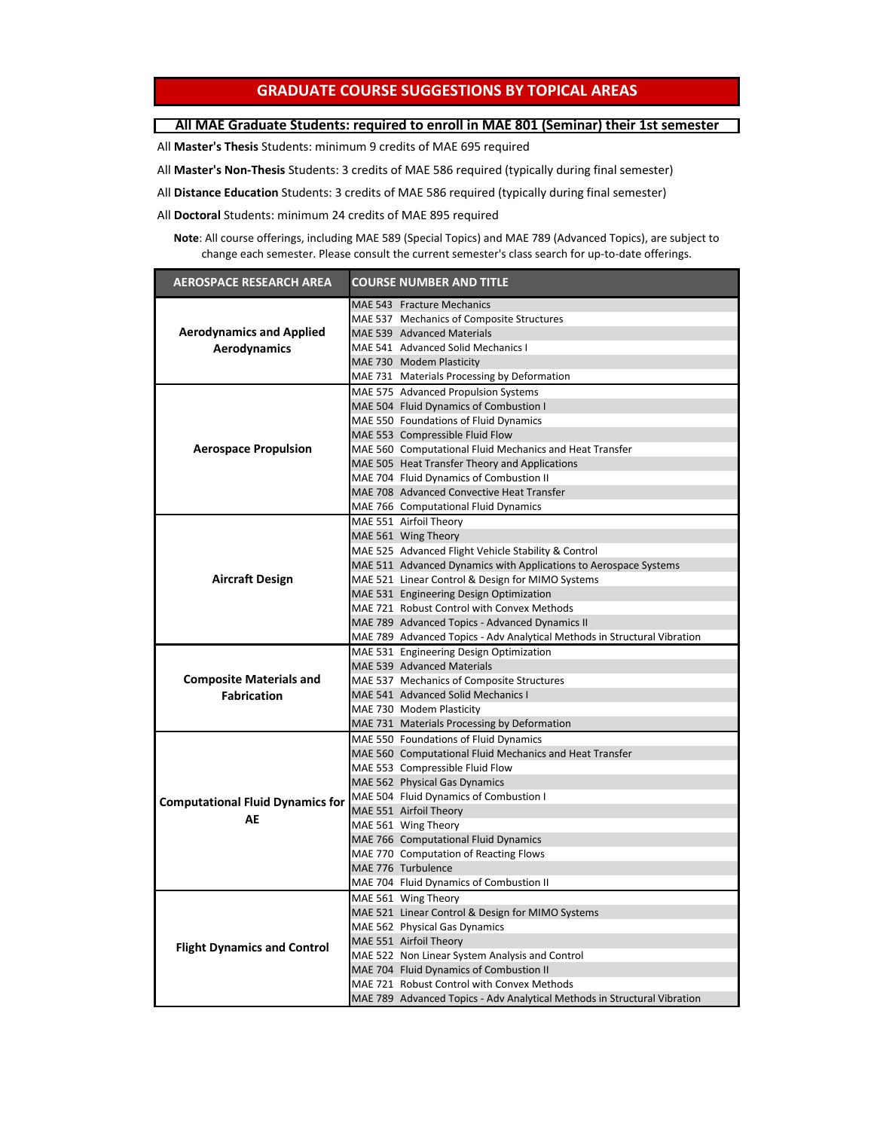## **GRADUATE COURSE SUGGESTIONS BY TOPICAL AREAS**

## **All MAE Graduate Students: required to enroll in MAE 801 (Seminar) their 1st semester**

All **Master's Thesis** Students: minimum 9 credits of MAE 695 required

All **Master's Non-Thesis** Students: 3 credits of MAE 586 required (typically during final semester)

All **Distance Education** Students: 3 credits of MAE 586 required (typically during final semester)

All **Doctoral** Students: minimum 24 credits of MAE 895 required

**Note**: All course offerings, including MAE 589 (Special Topics) and MAE 789 (Advanced Topics), are subject to change each semester. Please consult the current semester's class search for up-to-date offerings.

| <b>AEROSPACE RESEARCH AREA</b>          | <b>COURSE NUMBER AND TITLE</b>                                           |
|-----------------------------------------|--------------------------------------------------------------------------|
|                                         | MAE 543 Fracture Mechanics                                               |
|                                         | MAE 537 Mechanics of Composite Structures                                |
| <b>Aerodynamics and Applied</b>         | MAE 539 Advanced Materials                                               |
| Aerodynamics                            | MAE 541 Advanced Solid Mechanics I                                       |
|                                         | MAE 730 Modem Plasticity                                                 |
|                                         | MAE 731 Materials Processing by Deformation                              |
|                                         | MAE 575 Advanced Propulsion Systems                                      |
|                                         | MAE 504 Fluid Dynamics of Combustion I                                   |
|                                         | MAE 550 Foundations of Fluid Dynamics                                    |
|                                         | MAE 553 Compressible Fluid Flow                                          |
| <b>Aerospace Propulsion</b>             | MAE 560 Computational Fluid Mechanics and Heat Transfer                  |
|                                         | MAE 505 Heat Transfer Theory and Applications                            |
|                                         | MAE 704 Fluid Dynamics of Combustion II                                  |
|                                         | MAE 708 Advanced Convective Heat Transfer                                |
|                                         | MAE 766 Computational Fluid Dynamics                                     |
|                                         | MAE 551 Airfoil Theory                                                   |
|                                         | MAE 561 Wing Theory                                                      |
|                                         | MAE 525 Advanced Flight Vehicle Stability & Control                      |
|                                         | MAE 511 Advanced Dynamics with Applications to Aerospace Systems         |
| <b>Aircraft Design</b>                  | MAE 521 Linear Control & Design for MIMO Systems                         |
|                                         | MAE 531 Engineering Design Optimization                                  |
|                                         | MAE 721 Robust Control with Convex Methods                               |
|                                         | MAE 789 Advanced Topics - Advanced Dynamics II                           |
|                                         | MAE 789 Advanced Topics - Adv Analytical Methods in Structural Vibration |
|                                         | MAE 531 Engineering Design Optimization                                  |
|                                         | MAE 539 Advanced Materials                                               |
| <b>Composite Materials and</b>          | MAE 537 Mechanics of Composite Structures                                |
| <b>Fabrication</b>                      | MAE 541 Advanced Solid Mechanics I                                       |
|                                         | MAE 730 Modem Plasticity                                                 |
|                                         | MAE 731 Materials Processing by Deformation                              |
|                                         | MAE 550 Foundations of Fluid Dynamics                                    |
|                                         | MAE 560 Computational Fluid Mechanics and Heat Transfer                  |
|                                         | MAE 553 Compressible Fluid Flow                                          |
|                                         | MAE 562 Physical Gas Dynamics                                            |
| <b>Computational Fluid Dynamics for</b> | MAE 504 Fluid Dynamics of Combustion I                                   |
| AE                                      | MAE 551 Airfoil Theory                                                   |
|                                         | MAE 561 Wing Theory                                                      |
|                                         | MAE 766 Computational Fluid Dynamics                                     |
|                                         | MAE 770 Computation of Reacting Flows                                    |
|                                         | MAE 776 Turbulence                                                       |
|                                         | MAE 704 Fluid Dynamics of Combustion II                                  |
| <b>Flight Dynamics and Control</b>      | MAE 561 Wing Theory                                                      |
|                                         | MAE 521 Linear Control & Design for MIMO Systems                         |
|                                         | MAE 562 Physical Gas Dynamics                                            |
|                                         | MAE 551 Airfoil Theory                                                   |
|                                         | MAE 522 Non Linear System Analysis and Control                           |
|                                         | MAE 704 Fluid Dynamics of Combustion II                                  |
|                                         | MAE 721 Robust Control with Convex Methods                               |
|                                         | MAE 789 Advanced Topics - Adv Analytical Methods in Structural Vibration |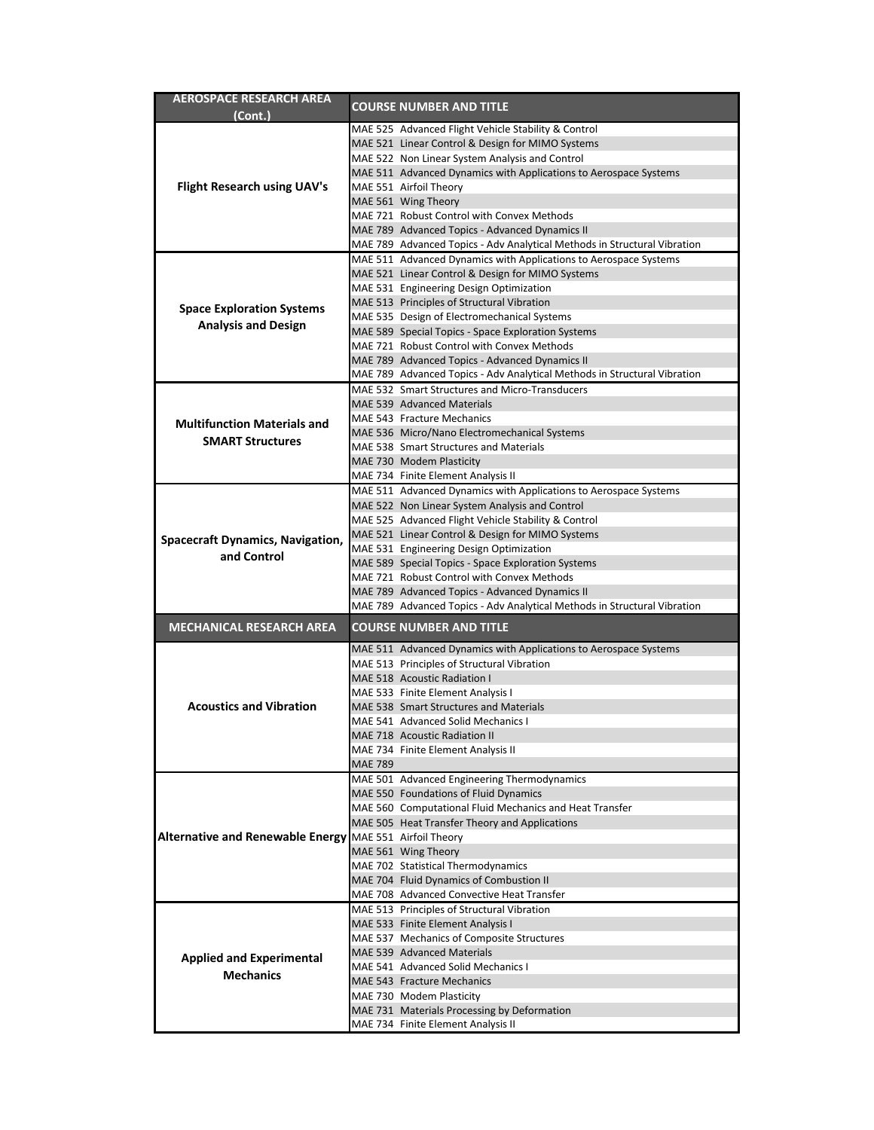| AEROSPACE RESEARCH AREA                                 |                | <b>COURSE NUMBER AND TITLE</b>                                                                                             |
|---------------------------------------------------------|----------------|----------------------------------------------------------------------------------------------------------------------------|
| (Cont.)                                                 |                |                                                                                                                            |
|                                                         |                | MAE 525 Advanced Flight Vehicle Stability & Control                                                                        |
|                                                         |                | MAE 521 Linear Control & Design for MIMO Systems                                                                           |
|                                                         |                | MAE 522 Non Linear System Analysis and Control                                                                             |
|                                                         |                | MAE 511 Advanced Dynamics with Applications to Aerospace Systems                                                           |
| Flight Research using UAV's                             |                | MAE 551 Airfoil Theory                                                                                                     |
|                                                         |                | MAE 561 Wing Theory                                                                                                        |
|                                                         |                | MAE 721 Robust Control with Convex Methods                                                                                 |
|                                                         |                | MAE 789 Advanced Topics - Advanced Dynamics II                                                                             |
|                                                         |                | MAE 789 Advanced Topics - Adv Analytical Methods in Structural Vibration                                                   |
|                                                         |                | MAE 511 Advanced Dynamics with Applications to Aerospace Systems                                                           |
|                                                         |                | MAE 521 Linear Control & Design for MIMO Systems                                                                           |
|                                                         |                | MAE 531 Engineering Design Optimization                                                                                    |
| <b>Space Exploration Systems</b>                        |                | MAE 513 Principles of Structural Vibration                                                                                 |
| <b>Analysis and Design</b>                              |                | MAE 535 Design of Electromechanical Systems                                                                                |
|                                                         |                | MAE 589 Special Topics - Space Exploration Systems<br>MAE 721 Robust Control with Convex Methods                           |
|                                                         |                |                                                                                                                            |
|                                                         |                | MAE 789 Advanced Topics - Advanced Dynamics II                                                                             |
|                                                         |                | MAE 789 Advanced Topics - Adv Analytical Methods in Structural Vibration<br>MAE 532 Smart Structures and Micro-Transducers |
|                                                         |                | MAE 539 Advanced Materials                                                                                                 |
|                                                         |                | MAE 543 Fracture Mechanics                                                                                                 |
| <b>Multifunction Materials and</b>                      |                | MAE 536 Micro/Nano Electromechanical Systems                                                                               |
| <b>SMART Structures</b>                                 |                | MAE 538 Smart Structures and Materials                                                                                     |
|                                                         |                | MAE 730 Modem Plasticity                                                                                                   |
|                                                         |                | MAE 734 Finite Element Analysis II                                                                                         |
|                                                         |                | MAE 511 Advanced Dynamics with Applications to Aerospace Systems                                                           |
|                                                         |                | MAE 522 Non Linear System Analysis and Control                                                                             |
|                                                         |                | MAE 525 Advanced Flight Vehicle Stability & Control                                                                        |
|                                                         |                | MAE 521 Linear Control & Design for MIMO Systems                                                                           |
| <b>Spacecraft Dynamics, Navigation,</b>                 |                | MAE 531 Engineering Design Optimization                                                                                    |
| and Control                                             |                | MAE 589 Special Topics - Space Exploration Systems                                                                         |
|                                                         |                | MAE 721 Robust Control with Convex Methods                                                                                 |
|                                                         |                | MAE 789 Advanced Topics - Advanced Dynamics II                                                                             |
|                                                         |                | MAE 789 Advanced Topics - Adv Analytical Methods in Structural Vibration                                                   |
| <b>MECHANICAL RESEARCH AREA</b>                         |                | <b>COURSE NUMBER AND TITLE</b>                                                                                             |
|                                                         |                |                                                                                                                            |
|                                                         |                | MAE 511 Advanced Dynamics with Applications to Aerospace Systems                                                           |
|                                                         |                | MAE 513 Principles of Structural Vibration                                                                                 |
|                                                         |                | MAE 518 Acoustic Radiation I                                                                                               |
| <b>Acoustics and Vibration</b>                          |                | MAE 533 Finite Element Analysis I<br>MAE 538 Smart Structures and Materials                                                |
|                                                         |                | MAE 541 Advanced Solid Mechanics I                                                                                         |
|                                                         |                | MAE 718 Acoustic Radiation II                                                                                              |
|                                                         |                | MAE 734 Finite Element Analysis II                                                                                         |
|                                                         | <b>MAE 789</b> |                                                                                                                            |
|                                                         |                | MAE 501 Advanced Engineering Thermodynamics                                                                                |
|                                                         |                | MAE 550 Foundations of Fluid Dynamics                                                                                      |
|                                                         |                | MAE 560 Computational Fluid Mechanics and Heat Transfer                                                                    |
|                                                         |                | MAE 505 Heat Transfer Theory and Applications                                                                              |
| Alternative and Renewable Energy MAE 551 Airfoil Theory |                |                                                                                                                            |
|                                                         |                | MAE 561 Wing Theory                                                                                                        |
|                                                         |                | MAE 702 Statistical Thermodynamics                                                                                         |
|                                                         |                | MAE 704 Fluid Dynamics of Combustion II                                                                                    |
|                                                         |                | MAE 708 Advanced Convective Heat Transfer                                                                                  |
|                                                         |                | MAE 513 Principles of Structural Vibration                                                                                 |
|                                                         |                | MAE 533 Finite Element Analysis I                                                                                          |
|                                                         |                | MAE 537 Mechanics of Composite Structures                                                                                  |
| <b>Applied and Experimental</b>                         |                | MAE 539 Advanced Materials                                                                                                 |
| <b>Mechanics</b>                                        |                | MAE 541 Advanced Solid Mechanics I                                                                                         |
|                                                         |                | MAE 543 Fracture Mechanics                                                                                                 |
|                                                         |                | MAE 730 Modem Plasticity                                                                                                   |
|                                                         |                | MAE 731 Materials Processing by Deformation                                                                                |
|                                                         |                | MAE 734 Finite Element Analysis II                                                                                         |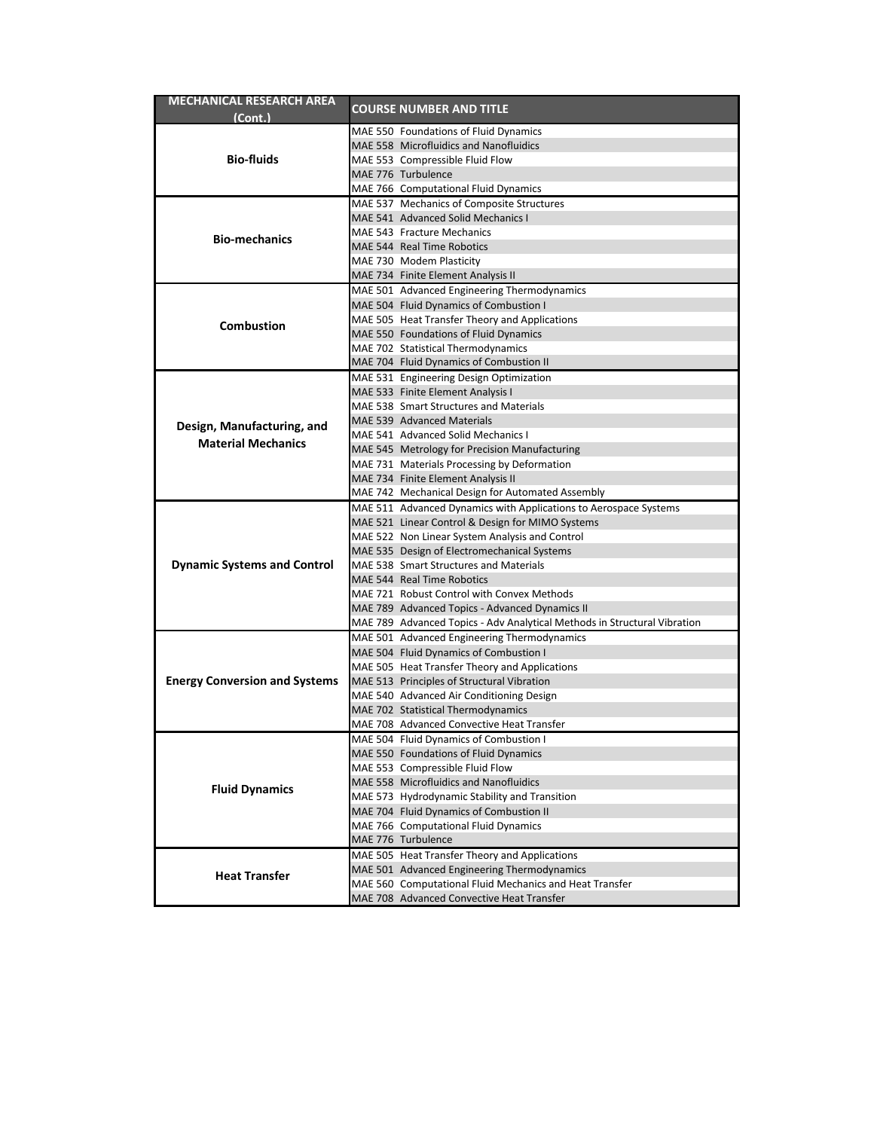| MECHANICAL RESEARCH AREA             |  |                                                                          |  |
|--------------------------------------|--|--------------------------------------------------------------------------|--|
| (Cont.)                              |  | <b>COURSE NUMBER AND TITLE</b>                                           |  |
|                                      |  | MAE 550 Foundations of Fluid Dynamics                                    |  |
|                                      |  | MAE 558 Microfluidics and Nanofluidics                                   |  |
| <b>Bio-fluids</b>                    |  | MAE 553 Compressible Fluid Flow                                          |  |
|                                      |  | MAE 776 Turbulence                                                       |  |
|                                      |  | MAE 766 Computational Fluid Dynamics                                     |  |
|                                      |  | MAE 537 Mechanics of Composite Structures                                |  |
|                                      |  | MAE 541 Advanced Solid Mechanics I                                       |  |
| <b>Bio-mechanics</b>                 |  | MAE 543 Fracture Mechanics                                               |  |
|                                      |  | MAE 544 Real Time Robotics                                               |  |
|                                      |  | MAE 730 Modem Plasticity                                                 |  |
|                                      |  | MAE 734 Finite Element Analysis II                                       |  |
|                                      |  | MAE 501 Advanced Engineering Thermodynamics                              |  |
|                                      |  | MAE 504 Fluid Dynamics of Combustion I                                   |  |
|                                      |  | MAE 505 Heat Transfer Theory and Applications                            |  |
| <b>Combustion</b>                    |  | MAE 550 Foundations of Fluid Dynamics                                    |  |
|                                      |  | MAE 702 Statistical Thermodynamics                                       |  |
|                                      |  | MAE 704 Fluid Dynamics of Combustion II                                  |  |
|                                      |  | MAE 531 Engineering Design Optimization                                  |  |
|                                      |  | MAE 533 Finite Element Analysis I                                        |  |
|                                      |  | MAE 538 Smart Structures and Materials                                   |  |
|                                      |  | MAE 539 Advanced Materials                                               |  |
| Design, Manufacturing, and           |  | MAE 541 Advanced Solid Mechanics I                                       |  |
| <b>Material Mechanics</b>            |  | MAE 545 Metrology for Precision Manufacturing                            |  |
|                                      |  | MAE 731 Materials Processing by Deformation                              |  |
|                                      |  | MAE 734 Finite Element Analysis II                                       |  |
|                                      |  | MAE 742 Mechanical Design for Automated Assembly                         |  |
|                                      |  | MAE 511 Advanced Dynamics with Applications to Aerospace Systems         |  |
|                                      |  | MAE 521 Linear Control & Design for MIMO Systems                         |  |
|                                      |  | MAE 522 Non Linear System Analysis and Control                           |  |
|                                      |  | MAE 535 Design of Electromechanical Systems                              |  |
| <b>Dynamic Systems and Control</b>   |  | MAE 538 Smart Structures and Materials                                   |  |
|                                      |  | MAE 544 Real Time Robotics                                               |  |
|                                      |  | MAE 721 Robust Control with Convex Methods                               |  |
|                                      |  | MAE 789 Advanced Topics - Advanced Dynamics II                           |  |
|                                      |  | MAE 789 Advanced Topics - Adv Analytical Methods in Structural Vibration |  |
|                                      |  | MAE 501 Advanced Engineering Thermodynamics                              |  |
|                                      |  | MAE 504 Fluid Dynamics of Combustion I                                   |  |
|                                      |  | MAE 505 Heat Transfer Theory and Applications                            |  |
| <b>Energy Conversion and Systems</b> |  | MAE 513 Principles of Structural Vibration                               |  |
|                                      |  | MAE 540 Advanced Air Conditioning Design                                 |  |
|                                      |  | MAE 702 Statistical Thermodynamics                                       |  |
|                                      |  | MAE 708 Advanced Convective Heat Transfer                                |  |
|                                      |  | MAE 504 Fluid Dynamics of Combustion I                                   |  |
|                                      |  | MAE 550 Foundations of Fluid Dynamics                                    |  |
|                                      |  | MAE 553 Compressible Fluid Flow                                          |  |
| <b>Fluid Dynamics</b>                |  | MAE 558 Microfluidics and Nanofluidics                                   |  |
|                                      |  | MAE 573 Hydrodynamic Stability and Transition                            |  |
|                                      |  | MAE 704 Fluid Dynamics of Combustion II                                  |  |
|                                      |  | MAE 766 Computational Fluid Dynamics                                     |  |
|                                      |  | MAE 776 Turbulence                                                       |  |
|                                      |  | MAE 505 Heat Transfer Theory and Applications                            |  |
|                                      |  | MAE 501 Advanced Engineering Thermodynamics                              |  |
| <b>Heat Transfer</b>                 |  | MAE 560 Computational Fluid Mechanics and Heat Transfer                  |  |
|                                      |  | MAE 708 Advanced Convective Heat Transfer                                |  |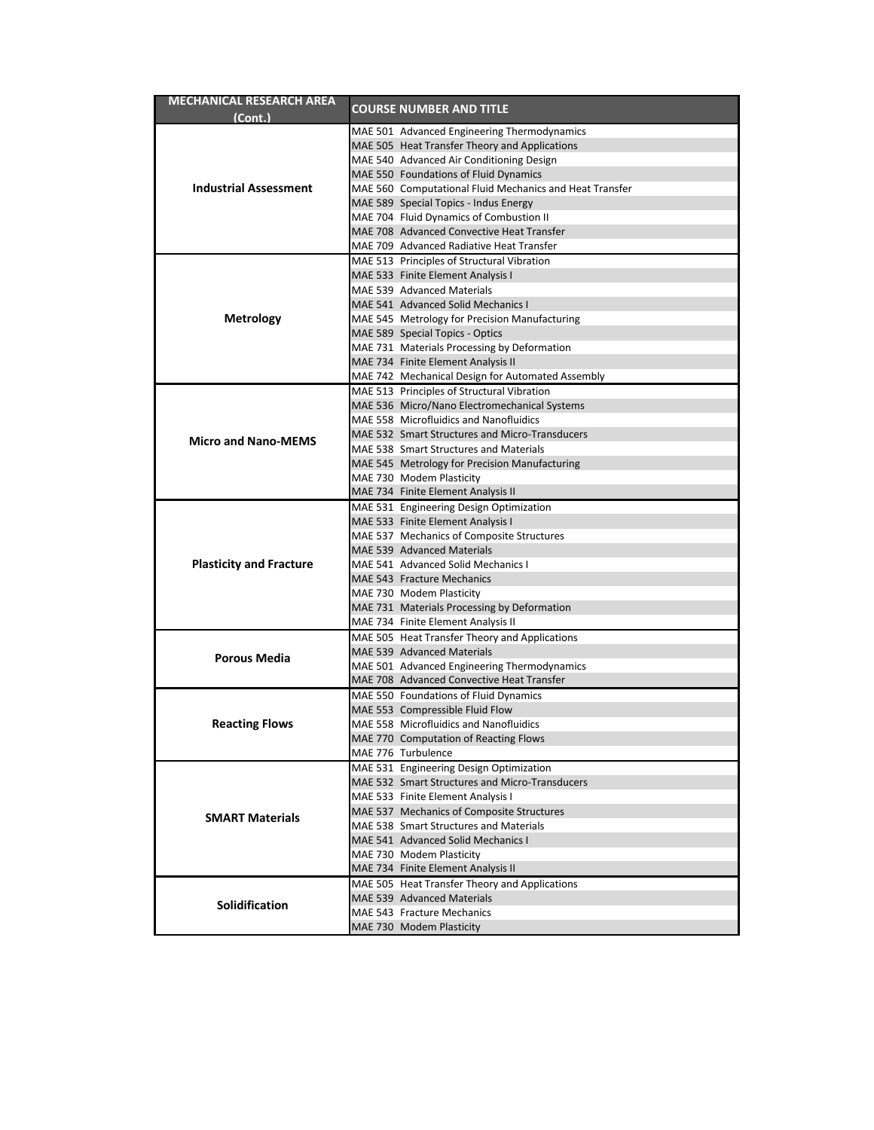| <b>MECHANICAL RESEARCH AREA</b> |  |                                                                                            |  |
|---------------------------------|--|--------------------------------------------------------------------------------------------|--|
| (Cont.)                         |  | <b>COURSE NUMBER AND TITLE</b>                                                             |  |
|                                 |  | MAE 501 Advanced Engineering Thermodynamics                                                |  |
|                                 |  | MAE 505 Heat Transfer Theory and Applications                                              |  |
|                                 |  | MAE 540 Advanced Air Conditioning Design                                                   |  |
|                                 |  | MAE 550 Foundations of Fluid Dynamics                                                      |  |
| <b>Industrial Assessment</b>    |  | MAE 560 Computational Fluid Mechanics and Heat Transfer                                    |  |
|                                 |  | MAE 589 Special Topics - Indus Energy                                                      |  |
|                                 |  | MAE 704 Fluid Dynamics of Combustion II                                                    |  |
|                                 |  | MAE 708 Advanced Convective Heat Transfer                                                  |  |
|                                 |  | MAE 709 Advanced Radiative Heat Transfer                                                   |  |
|                                 |  | MAE 513 Principles of Structural Vibration                                                 |  |
|                                 |  | MAE 533 Finite Element Analysis I                                                          |  |
|                                 |  | MAE 539 Advanced Materials                                                                 |  |
|                                 |  | MAE 541 Advanced Solid Mechanics I                                                         |  |
| <b>Metrology</b>                |  | MAE 545 Metrology for Precision Manufacturing                                              |  |
|                                 |  | MAE 589 Special Topics - Optics                                                            |  |
|                                 |  | MAE 731 Materials Processing by Deformation                                                |  |
|                                 |  | MAE 734 Finite Element Analysis II                                                         |  |
|                                 |  | MAE 742 Mechanical Design for Automated Assembly                                           |  |
|                                 |  | MAE 513 Principles of Structural Vibration<br>MAE 536 Micro/Nano Electromechanical Systems |  |
|                                 |  | MAE 558 Microfluidics and Nanofluidics                                                     |  |
|                                 |  | MAE 532 Smart Structures and Micro-Transducers                                             |  |
| <b>Micro and Nano-MEMS</b>      |  | MAE 538 Smart Structures and Materials                                                     |  |
|                                 |  | MAE 545 Metrology for Precision Manufacturing                                              |  |
|                                 |  | MAE 730 Modem Plasticity                                                                   |  |
|                                 |  | MAE 734 Finite Element Analysis II                                                         |  |
|                                 |  | MAE 531 Engineering Design Optimization                                                    |  |
|                                 |  | MAE 533 Finite Element Analysis I                                                          |  |
|                                 |  | MAE 537 Mechanics of Composite Structures                                                  |  |
|                                 |  | MAE 539 Advanced Materials                                                                 |  |
| <b>Plasticity and Fracture</b>  |  | MAE 541 Advanced Solid Mechanics I                                                         |  |
|                                 |  | MAE 543 Fracture Mechanics                                                                 |  |
|                                 |  | MAE 730 Modem Plasticity                                                                   |  |
|                                 |  | MAE 731 Materials Processing by Deformation                                                |  |
|                                 |  | MAE 734 Finite Element Analysis II                                                         |  |
|                                 |  | MAE 505 Heat Transfer Theory and Applications                                              |  |
| Porous Media                    |  | MAE 539 Advanced Materials                                                                 |  |
|                                 |  | MAE 501 Advanced Engineering Thermodynamics                                                |  |
|                                 |  | MAE 708 Advanced Convective Heat Transfer                                                  |  |
|                                 |  | MAE 550 Foundations of Fluid Dynamics                                                      |  |
|                                 |  | MAE 553 Compressible Fluid Flow<br>MAE 558 Microfluidics and Nanofluidics                  |  |
| <b>Reacting Flows</b>           |  | MAE 770 Computation of Reacting Flows                                                      |  |
|                                 |  | MAE 776 Turbulence                                                                         |  |
|                                 |  | MAE 531 Engineering Design Optimization                                                    |  |
| <b>SMART Materials</b>          |  | MAE 532 Smart Structures and Micro-Transducers                                             |  |
|                                 |  | MAE 533 Finite Element Analysis I                                                          |  |
|                                 |  | MAE 537 Mechanics of Composite Structures                                                  |  |
|                                 |  | MAE 538 Smart Structures and Materials                                                     |  |
|                                 |  | MAE 541 Advanced Solid Mechanics I                                                         |  |
|                                 |  | MAE 730 Modem Plasticity                                                                   |  |
|                                 |  | MAE 734 Finite Element Analysis II                                                         |  |
|                                 |  | MAE 505 Heat Transfer Theory and Applications                                              |  |
| <b>Solidification</b>           |  | MAE 539 Advanced Materials                                                                 |  |
|                                 |  | MAE 543 Fracture Mechanics                                                                 |  |
|                                 |  | MAE 730 Modem Plasticity                                                                   |  |